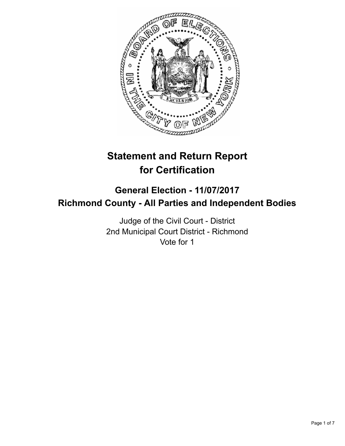

# **Statement and Return Report for Certification**

## **General Election - 11/07/2017 Richmond County - All Parties and Independent Bodies**

Judge of the Civil Court - District 2nd Municipal Court District - Richmond Vote for 1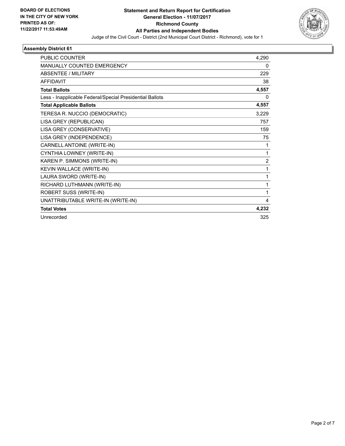

| PUBLIC COUNTER                                           | 4,290          |
|----------------------------------------------------------|----------------|
| <b>MANUALLY COUNTED EMERGENCY</b>                        | 0              |
| <b>ABSENTEE / MILITARY</b>                               | 229            |
| <b>AFFIDAVIT</b>                                         | 38             |
| <b>Total Ballots</b>                                     | 4,557          |
| Less - Inapplicable Federal/Special Presidential Ballots | 0              |
| <b>Total Applicable Ballots</b>                          | 4,557          |
| TERESA R. NUCCIO (DEMOCRATIC)                            | 3,229          |
| LISA GREY (REPUBLICAN)                                   | 757            |
| LISA GREY (CONSERVATIVE)                                 | 159            |
| LISA GREY (INDEPENDENCE)                                 | 75             |
| CARNELL ANTOINE (WRITE-IN)                               | 1              |
| CYNTHIA LOWNEY (WRITE-IN)                                | $\mathbf{1}$   |
| KAREN P. SIMMONS (WRITE-IN)                              | $\overline{2}$ |
| KEVIN WALLACE (WRITE-IN)                                 | 1              |
| LAURA SWORD (WRITE-IN)                                   | 1              |
| RICHARD LUTHMANN (WRITE-IN)                              | 1              |
| ROBERT SUSS (WRITE-IN)                                   | 1              |
| UNATTRIBUTABLE WRITE-IN (WRITE-IN)                       | 4              |
| <b>Total Votes</b>                                       | 4,232          |
| Unrecorded                                               | 325            |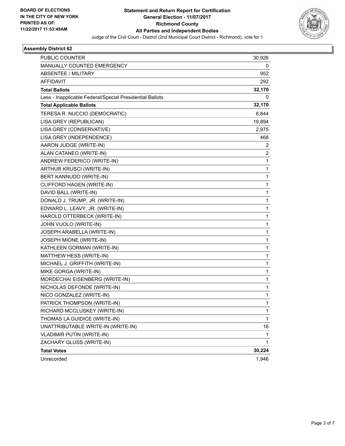

| PUBLIC COUNTER                                           | 30,926       |
|----------------------------------------------------------|--------------|
| MANUALLY COUNTED EMERGENCY                               | 0            |
| <b>ABSENTEE / MILITARY</b>                               | 952          |
| <b>AFFIDAVIT</b>                                         | 292          |
| <b>Total Ballots</b>                                     | 32,170       |
| Less - Inapplicable Federal/Special Presidential Ballots | 0            |
| <b>Total Applicable Ballots</b>                          | 32,170       |
| TERESA R. NUCCIO (DEMOCRATIC)                            | 6,844        |
| LISA GREY (REPUBLICAN)                                   | 19,894       |
| LISA GREY (CONSERVATIVE)                                 | 2,975        |
| LISA GREY (INDEPENDENCE)                                 | 468          |
| AARON JUDGE (WRITE-IN)                                   | 2            |
| ALAN CATANEO (WRITE-IN)                                  | 2            |
| ANDREW FEDERICO (WRITE-IN)                               | 1            |
| ARTHUR KRUSCI (WRITE-IN)                                 | 1            |
| BERT KANNUDO (WRITE-IN)                                  | 1            |
| CLIFFORD HAGEN (WRITE-IN)                                | 1            |
| DAVID BALL (WRITE-IN)                                    | 1            |
| DONALD J. TRUMP, JR. (WRITE-IN)                          | 1            |
| EDWARD L. LEAVY, JR. (WRITE-IN)                          | 1            |
| HAROLD OTTERBECK (WRITE-IN)                              | 1            |
| JOHN VUOLO (WRITE-IN)                                    | 1            |
| JOSEPH ARABELLA (WRITE-IN)                               | 1            |
| JOSEPH MIONE (WRITE-IN)                                  | 1            |
| KATHLEEN GORMAN (WRITE-IN)                               | 1            |
| MATTHEW HESS (WRITE-IN)                                  | 1            |
| MICHAEL J. GRIFFITH (WRITE-IN)                           | 1            |
| MIKE GORGA (WRITE-IN)                                    | 1            |
| MORDECHAI EISENBERG (WRITE-IN)                           | 1            |
| NICHOLAS DEFONDE (WRITE-IN)                              | 1            |
| NICO GONZALEZ (WRITE-IN)                                 | 1            |
| PATRICK THOMPSON (WRITE-IN)                              | 1            |
| RICHARD MCCLUSKEY (WRITE-IN)                             | 1            |
| THOMAS LA GUIDICE (WRITE-IN)                             | $\mathbf{1}$ |
| UNATTRIBUTABLE WRITE-IN (WRITE-IN)                       | 16           |
| VLADIMIR PUTIN (WRITE-IN)                                | 1            |
| ZACHARY GLUSS (WRITE-IN)                                 | 1            |
| <b>Total Votes</b>                                       | 30,224       |
| Unrecorded                                               | 1,946        |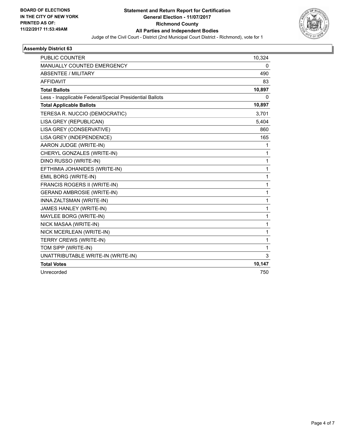

| <b>PUBLIC COUNTER</b>                                    | 10,324       |
|----------------------------------------------------------|--------------|
| MANUALLY COUNTED EMERGENCY                               | 0            |
| <b>ABSENTEE / MILITARY</b>                               | 490          |
| <b>AFFIDAVIT</b>                                         | 83           |
| <b>Total Ballots</b>                                     | 10,897       |
| Less - Inapplicable Federal/Special Presidential Ballots | $\mathbf{0}$ |
| <b>Total Applicable Ballots</b>                          | 10,897       |
| TERESA R. NUCCIO (DEMOCRATIC)                            | 3,701        |
| LISA GREY (REPUBLICAN)                                   | 5,404        |
| LISA GREY (CONSERVATIVE)                                 | 860          |
| LISA GREY (INDEPENDENCE)                                 | 165          |
| AARON JUDGE (WRITE-IN)                                   | 1            |
| CHERYL GONZALES (WRITE-IN)                               | 1            |
| DINO RUSSO (WRITE-IN)                                    | 1            |
| EFTHIMIA JOHANIDES (WRITE-IN)                            | 1            |
| EMIL BORG (WRITE-IN)                                     | 1            |
| FRANCIS ROGERS II (WRITE-IN)                             | 1            |
| <b>GERAND AMBROSIE (WRITE-IN)</b>                        | 1            |
| INNA ZALTSMAN (WRITE-IN)                                 | 1            |
| JAMES HANLEY (WRITE-IN)                                  | 1            |
| MAYLEE BORG (WRITE-IN)                                   | 1            |
| NICK MASAA (WRITE-IN)                                    | 1            |
| NICK MCERLEAN (WRITE-IN)                                 | 1            |
| TERRY CREWS (WRITE-IN)                                   | 1            |
| TOM SIPP (WRITE-IN)                                      | 1            |
| UNATTRIBUTABLE WRITE-IN (WRITE-IN)                       | 3            |
| <b>Total Votes</b>                                       | 10,147       |
| Unrecorded                                               | 750          |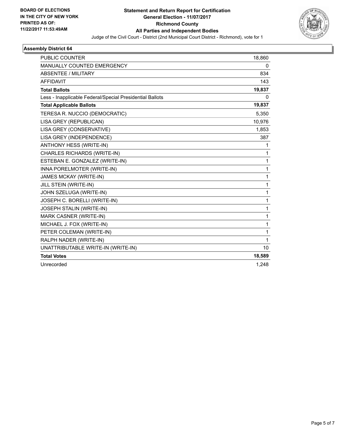

| <b>PUBLIC COUNTER</b>                                    | 18,860       |
|----------------------------------------------------------|--------------|
| <b>MANUALLY COUNTED EMERGENCY</b>                        | 0            |
| ABSENTEE / MILITARY                                      | 834          |
| <b>AFFIDAVIT</b>                                         | 143          |
| <b>Total Ballots</b>                                     | 19,837       |
| Less - Inapplicable Federal/Special Presidential Ballots | 0            |
| <b>Total Applicable Ballots</b>                          | 19,837       |
| TERESA R. NUCCIO (DEMOCRATIC)                            | 5,350        |
| LISA GREY (REPUBLICAN)                                   | 10,976       |
| LISA GREY (CONSERVATIVE)                                 | 1,853        |
| LISA GREY (INDEPENDENCE)                                 | 387          |
| ANTHONY HESS (WRITE-IN)                                  | 1            |
| CHARLES RICHARDS (WRITE-IN)                              | 1            |
| ESTEBAN E. GONZALEZ (WRITE-IN)                           | $\mathbf{1}$ |
| INNA PORELMOTER (WRITE-IN)                               | $\mathbf{1}$ |
| JAMES MCKAY (WRITE-IN)                                   | $\mathbf{1}$ |
| JILL STEIN (WRITE-IN)                                    | $\mathbf{1}$ |
| JOHN SZELUGA (WRITE-IN)                                  | $\mathbf{1}$ |
| JOSEPH C. BORELLI (WRITE-IN)                             | $\mathbf{1}$ |
| JOSEPH STALIN (WRITE-IN)                                 | 1            |
| MARK CASNER (WRITE-IN)                                   | $\mathbf{1}$ |
| MICHAEL J. FOX (WRITE-IN)                                | $\mathbf{1}$ |
| PETER COLEMAN (WRITE-IN)                                 | 1            |
| RALPH NADER (WRITE-IN)                                   | $\mathbf{1}$ |
| UNATTRIBUTABLE WRITE-IN (WRITE-IN)                       | 10           |
| <b>Total Votes</b>                                       | 18,589       |
| Unrecorded                                               | 1,248        |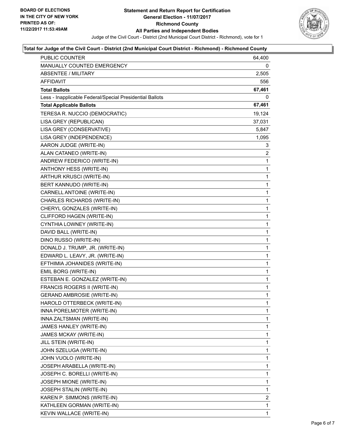

### **Total for Judge of the Civil Court - District (2nd Municipal Court District - Richmond) - Richmond County**

| PUBLIC COUNTER                                           | 64,400       |
|----------------------------------------------------------|--------------|
| MANUALLY COUNTED EMERGENCY                               | 0            |
| <b>ABSENTEE / MILITARY</b>                               | 2,505        |
| AFFIDAVIT                                                | 556          |
| <b>Total Ballots</b>                                     | 67,461       |
| Less - Inapplicable Federal/Special Presidential Ballots | 0            |
| <b>Total Applicable Ballots</b>                          | 67,461       |
| TERESA R. NUCCIO (DEMOCRATIC)                            | 19,124       |
| LISA GREY (REPUBLICAN)                                   | 37,031       |
| LISA GREY (CONSERVATIVE)                                 | 5,847        |
| LISA GREY (INDEPENDENCE)                                 | 1,095        |
| AARON JUDGE (WRITE-IN)                                   | 3            |
| ALAN CATANEO (WRITE-IN)                                  | 2            |
| ANDREW FEDERICO (WRITE-IN)                               | 1            |
| ANTHONY HESS (WRITE-IN)                                  | 1            |
| ARTHUR KRUSCI (WRITE-IN)                                 | 1            |
| BERT KANNUDO (WRITE-IN)                                  | 1            |
| CARNELL ANTOINE (WRITE-IN)                               | 1            |
| <b>CHARLES RICHARDS (WRITE-IN)</b>                       | 1            |
| CHERYL GONZALES (WRITE-IN)                               | 1            |
| CLIFFORD HAGEN (WRITE-IN)                                | 1            |
| CYNTHIA LOWNEY (WRITE-IN)                                | 1            |
| DAVID BALL (WRITE-IN)                                    | 1            |
| DINO RUSSO (WRITE-IN)                                    | 1            |
| DONALD J. TRUMP, JR. (WRITE-IN)                          | 1            |
| EDWARD L. LEAVY, JR. (WRITE-IN)                          | 1            |
| EFTHIMIA JOHANIDES (WRITE-IN)                            | 1            |
| EMIL BORG (WRITE-IN)                                     | 1            |
| ESTEBAN E. GONZALEZ (WRITE-IN)                           | 1            |
| FRANCIS ROGERS II (WRITE-IN)                             | 1            |
| <b>GERAND AMBROSIE (WRITE-IN)</b>                        | 1            |
| HAROLD OTTERBECK (WRITE-IN)                              | $\mathbf{1}$ |
| INNA PORELMOTER (WRITE-IN)                               | 1            |
| INNA ZALTSMAN (WRITE-IN)                                 | 1            |
| JAMES HANLEY (WRITE-IN)                                  | 1            |
| JAMES MCKAY (WRITE-IN)                                   | 1            |
| JILL STEIN (WRITE-IN)                                    | 1            |
| JOHN SZELUGA (WRITE-IN)                                  | 1            |
| JOHN VUOLO (WRITE-IN)                                    | 1            |
| JOSEPH ARABELLA (WRITE-IN)                               | 1            |
| JOSEPH C. BORELLI (WRITE-IN)                             | 1            |
| JOSEPH MIONE (WRITE-IN)                                  | 1            |
| JOSEPH STALIN (WRITE-IN)                                 | 1            |
| KAREN P. SIMMONS (WRITE-IN)                              | 2            |
| KATHLEEN GORMAN (WRITE-IN)                               | 1            |
| KEVIN WALLACE (WRITE-IN)                                 | 1.           |